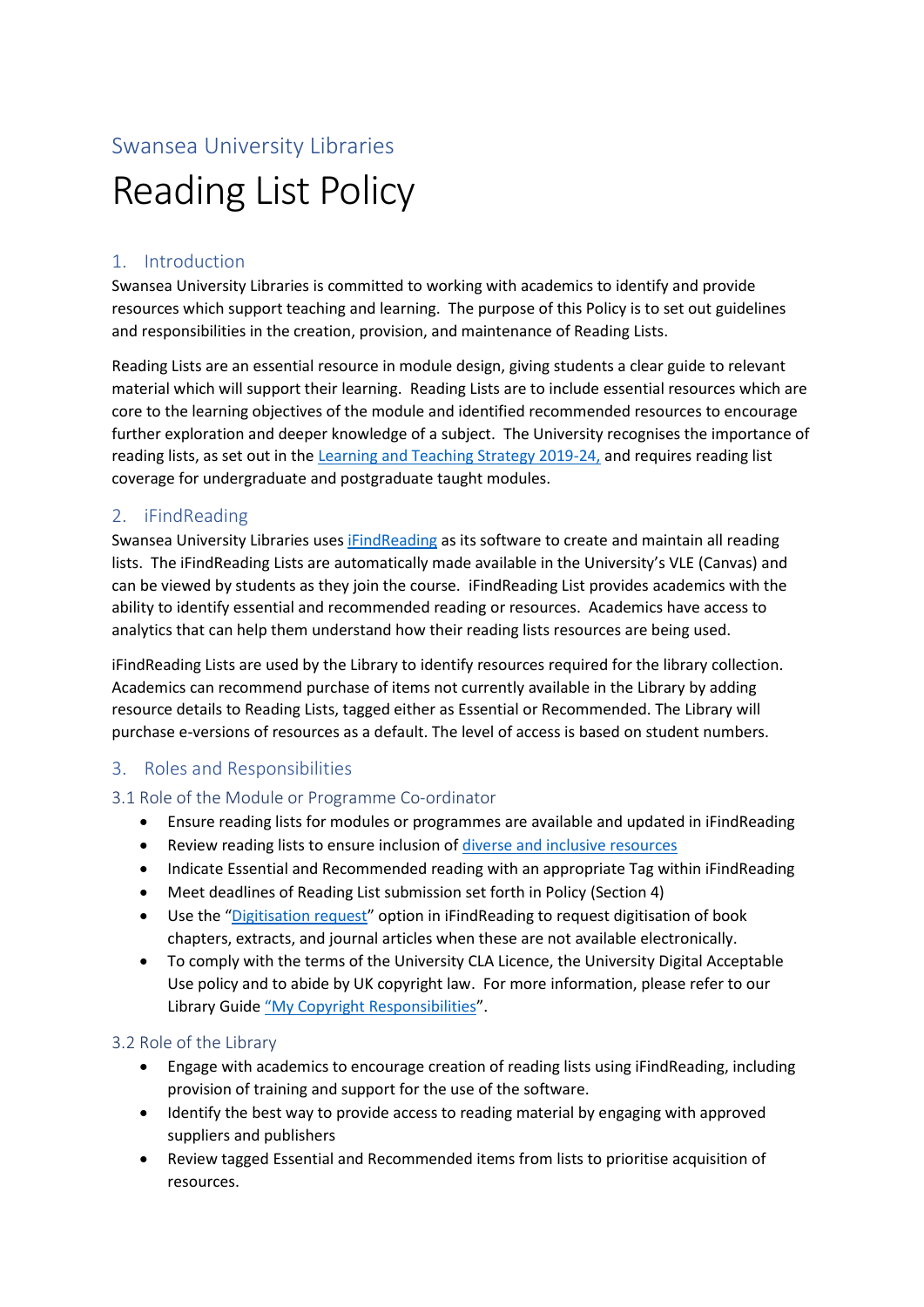# Swansea University Libraries Reading List Policy

## 1. Introduction

Swansea University Libraries is committed to working with academics to identify and provide resources which support teaching and learning. The purpose of this Policy is to set out guidelines and responsibilities in the creation, provision, and maintenance of Reading Lists.

Reading Lists are an essential resource in module design, giving students a clear guide to relevant material which will support their learning. Reading Lists are to include essential resources which are core to the learning objectives of the module and identified recommended resources to encourage further exploration and deeper knowledge of a subject. The University recognises the importance of reading lists, as set out in the [Learning and Teaching Strategy 2019-24,](https://www.swansea.ac.uk/media/Swansea-University-Learning-and-Teaching-Strategy-2019-2024.pdf) and requires reading list coverage for undergraduate and postgraduate taught modules.

## 2. iFindReading

Swansea University Libraries uses [iFindReading](https://libguides.swansea.ac.uk/iFindReading/about) as its software to create and maintain all reading lists. The iFindReading Lists are automatically made available in the University's VLE (Canvas) and can be viewed by students as they join the course. iFindReading List provides academics with the ability to identify essential and recommended reading or resources. Academics have access to analytics that can help them understand how their reading lists resources are being used.

iFindReading Lists are used by the Library to identify resources required for the library collection. Academics can recommend purchase of items not currently available in the Library by adding resource details to Reading Lists, tagged either as Essential or Recommended. The Library will purchase e-versions of resources as a default. The level of access is based on student numbers.

## 3. Roles and Responsibilities

#### 3.1 Role of the Module or Programme Co-ordinator

- Ensure reading lists for modules or programmes are available and updated in iFindReading
- Review reading lists to ensure inclusion of diverse [and inclusive resources](https://libguides.swansea.ac.uk/diversecollections)
- Indicate Essential and Recommended reading with an appropriate Tag within iFindReading
- Meet deadlines of Reading List submission set forth in Policy (Section 4)
- Use the "[Digitisation request](https://libguides.swansea.ac.uk/iFindReading/requesting-digitisation)" option in iFindReading to request digitisation of book chapters, extracts, and journal articles when these are not available electronically.
- To comply with the terms of the University CLA Licence, the University Digital Acceptable Use policy and to abide by UK copyright law. For more information, please refer to our Library Guide "[My Copyright Responsibilities](https://libguides.swansea.ac.uk/copyright/teachers)".

#### 3.2 Role of the Library

- Engage with academics to encourage creation of reading lists using iFindReading, including provision of training and support for the use of the software.
- Identify the best way to provide access to reading material by engaging with approved suppliers and publishers
- Review tagged Essential and Recommended items from lists to prioritise acquisition of resources.